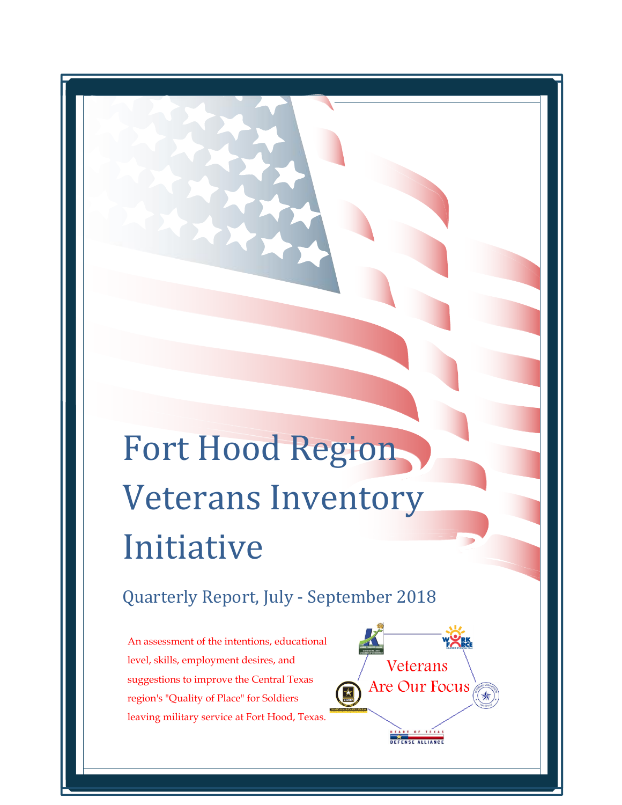# Fort Hood Region Veterans Inventory Initiative

# Quarterly Report, July - September 2018

An assessment of the intentions, educational level, skills, employment desires, and suggestions to improve the Central Texas region's "Quality of Place" for Soldiers leaving military service at Fort Hood, Texas.

 $\overline{a}$ 

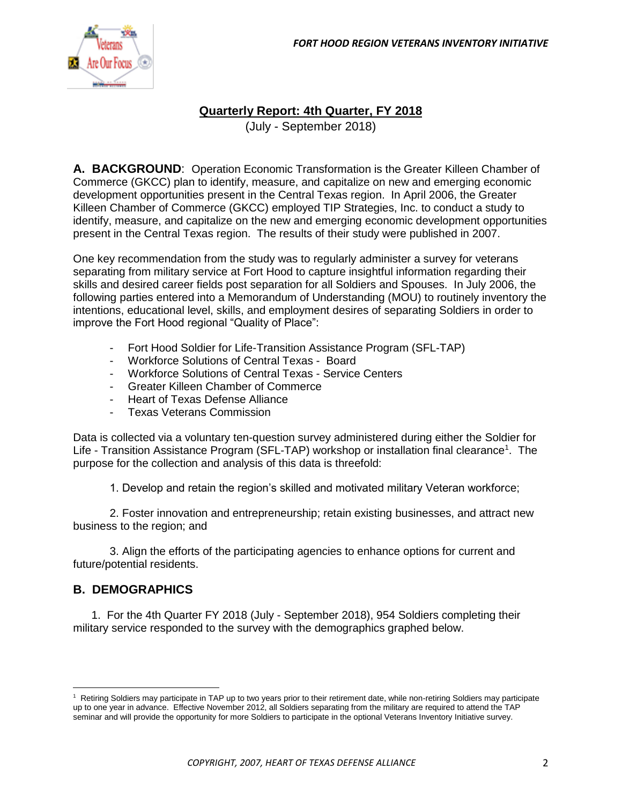

## **Quarterly Report: 4th Quarter, FY 2018**

(July - September 2018)

**A. BACKGROUND**: Operation Economic Transformation is the Greater Killeen Chamber of Commerce (GKCC) plan to identify, measure, and capitalize on new and emerging economic development opportunities present in the Central Texas region. In April 2006, the Greater Killeen Chamber of Commerce (GKCC) employed TIP Strategies, Inc. to conduct a study to identify, measure, and capitalize on the new and emerging economic development opportunities present in the Central Texas region. The results of their study were published in 2007.

One key recommendation from the study was to regularly administer a survey for veterans separating from military service at Fort Hood to capture insightful information regarding their skills and desired career fields post separation for all Soldiers and Spouses. In July 2006, the following parties entered into a Memorandum of Understanding (MOU) to routinely inventory the intentions, educational level, skills, and employment desires of separating Soldiers in order to improve the Fort Hood regional "Quality of Place":

- Fort Hood Soldier for Life-Transition Assistance Program (SFL-TAP)
- Workforce Solutions of Central Texas Board
- Workforce Solutions of Central Texas Service Centers
- Greater Killeen Chamber of Commerce
- Heart of Texas Defense Alliance
- Texas Veterans Commission

Data is collected via a voluntary ten-question survey administered during either the Soldier for Life - Transition Assistance Program (SFL-TAP) workshop or installation final clearance<sup>1</sup>. The purpose for the collection and analysis of this data is threefold:

1. Develop and retain the region's skilled and motivated military Veteran workforce;

2. Foster innovation and entrepreneurship; retain existing businesses, and attract new business to the region; and

3. Align the efforts of the participating agencies to enhance options for current and future/potential residents.

#### **B. DEMOGRAPHICS**

 $\overline{\phantom{a}}$ 

1. For the 4th Quarter FY 2018 (July - September 2018), 954 Soldiers completing their military service responded to the survey with the demographics graphed below.

<sup>&</sup>lt;sup>1</sup> Retiring Soldiers may participate in TAP up to two years prior to their retirement date, while non-retiring Soldiers may participate up to one year in advance. Effective November 2012, all Soldiers separating from the military are required to attend the TAP seminar and will provide the opportunity for more Soldiers to participate in the optional Veterans Inventory Initiative survey.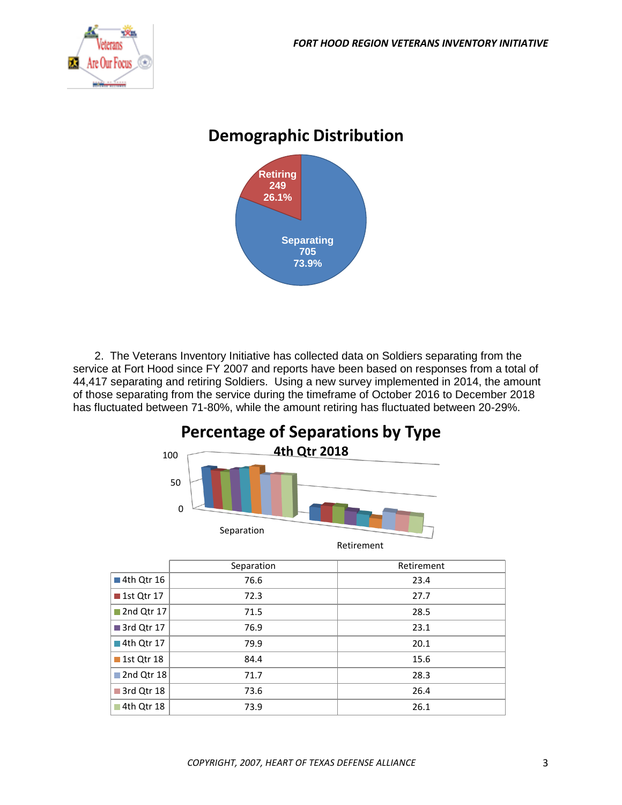

# **Demographic Distribution**



2. The Veterans Inventory Initiative has collected data on Soldiers separating from the service at Fort Hood since FY 2007 and reports have been based on responses from a total of 44,417 separating and retiring Soldiers. Using a new survey implemented in 2014, the amount of those separating from the service during the timeframe of October 2016 to December 2018 has fluctuated between 71-80%, while the amount retiring has fluctuated between 20-29%.



|                           | Separation | Retirement |
|---------------------------|------------|------------|
| 4th Qtr 16                | 76.6       | 23.4       |
| <b>1st Qtr 17</b>         | 72.3       | 27.7       |
| $\blacksquare$ 2nd Qtr 17 | 71.5       | 28.5       |
| ■ 3rd Qtr 17              | 76.9       | 23.1       |
| $\blacksquare$ 4th Qtr 17 | 79.9       | 20.1       |
| $\blacksquare$ 1st Qtr 18 | 84.4       | 15.6       |
| 2nd Qtr 18                | 71.7       | 28.3       |
| 3rd Qtr 18                | 73.6       | 26.4       |
| ■ 4th Qtr 18              | 73.9       | 26.1       |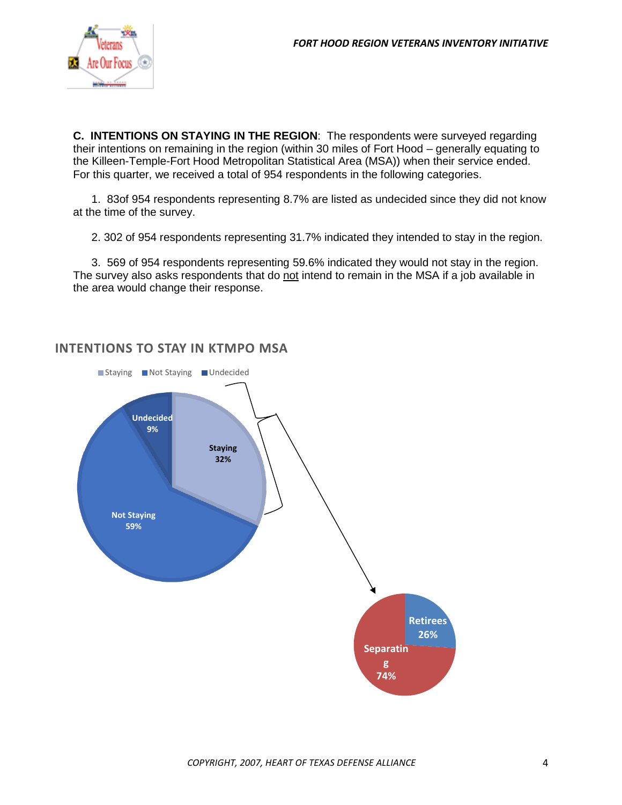

**C. INTENTIONS ON STAYING IN THE REGION**: The respondents were surveyed regarding their intentions on remaining in the region (within 30 miles of Fort Hood – generally equating to the Killeen-Temple-Fort Hood Metropolitan Statistical Area (MSA)) when their service ended. For this quarter, we received a total of 954 respondents in the following categories.

1. 83of 954 respondents representing 8.7% are listed as undecided since they did not know at the time of the survey.

2. 302 of 954 respondents representing 31.7% indicated they intended to stay in the region.

3. 569 of 954 respondents representing 59.6% indicated they would not stay in the region. The survey also asks respondents that do not intend to remain in the MSA if a job available in the area would change their response.



### **INTENTIONS TO STAY IN KTMPO MSA**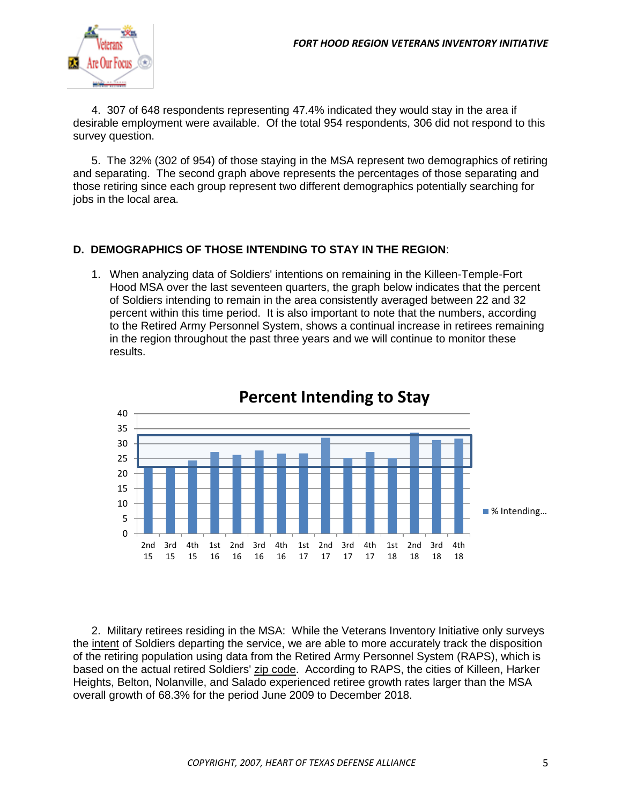

4. 307 of 648 respondents representing 47.4% indicated they would stay in the area if desirable employment were available. Of the total 954 respondents, 306 did not respond to this survey question.

5. The 32% (302 of 954) of those staying in the MSA represent two demographics of retiring and separating. The second graph above represents the percentages of those separating and those retiring since each group represent two different demographics potentially searching for jobs in the local area.

#### **D. DEMOGRAPHICS OF THOSE INTENDING TO STAY IN THE REGION**:

1. When analyzing data of Soldiers' intentions on remaining in the Killeen-Temple-Fort Hood MSA over the last seventeen quarters, the graph below indicates that the percent of Soldiers intending to remain in the area consistently averaged between 22 and 32 percent within this time period. It is also important to note that the numbers, according to the Retired Army Personnel System, shows a continual increase in retirees remaining in the region throughout the past three years and we will continue to monitor these results.



# **Percent Intending to Stay**

2. Military retirees residing in the MSA: While the Veterans Inventory Initiative only surveys the intent of Soldiers departing the service, we are able to more accurately track the disposition of the retiring population using data from the Retired Army Personnel System (RAPS), which is based on the actual retired Soldiers' zip code. According to RAPS, the cities of Killeen, Harker Heights, Belton, Nolanville, and Salado experienced retiree growth rates larger than the MSA overall growth of 68.3% for the period June 2009 to December 2018.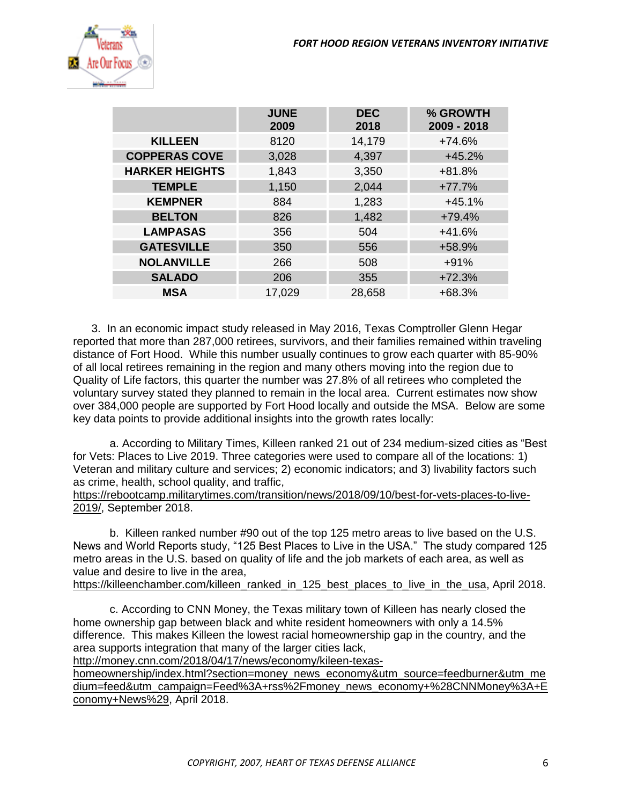

|                       | <b>JUNE</b><br>2009 | <b>DEC</b><br>2018 | % GROWTH<br>2009 - 2018 |
|-----------------------|---------------------|--------------------|-------------------------|
| <b>KILLEEN</b>        | 8120                | 14,179             | $+74.6%$                |
| <b>COPPERAS COVE</b>  | 3,028               | 4,397              | $+45.2%$                |
| <b>HARKER HEIGHTS</b> | 1,843               | 3,350              | $+81.8%$                |
| <b>TEMPLE</b>         | 1,150               | 2,044              | $+77.7%$                |
| <b>KEMPNER</b>        | 884                 | 1,283              | $+45.1%$                |
| <b>BELTON</b>         | 826                 | 1,482              | $+79.4%$                |
| <b>LAMPASAS</b>       | 356                 | 504                | $+41.6%$                |
| <b>GATESVILLE</b>     | 350                 | 556                | +58.9%                  |
| <b>NOLANVILLE</b>     | 266                 | 508                | $+91%$                  |
| <b>SALADO</b>         | 206                 | 355                | $+72.3%$                |
| <b>MSA</b>            | 17,029              | 28,658             | $+68.3%$                |

3. In an economic impact study released in May 2016, Texas Comptroller Glenn Hegar reported that more than 287,000 retirees, survivors, and their families remained within traveling distance of Fort Hood. While this number usually continues to grow each quarter with 85-90% of all local retirees remaining in the region and many others moving into the region due to Quality of Life factors, this quarter the number was 27.8% of all retirees who completed the voluntary survey stated they planned to remain in the local area. Current estimates now show over 384,000 people are supported by Fort Hood locally and outside the MSA. Below are some key data points to provide additional insights into the growth rates locally:

a. According to Military Times, Killeen ranked 21 out of 234 medium-sized cities as "Best for Vets: Places to Live 2019. Three categories were used to compare all of the locations: 1) Veteran and military culture and services; 2) economic indicators; and 3) livability factors such as crime, health, school quality, and traffic,

[https://rebootcamp.militarytimes.com/transition/news/2018/09/10/best-for-vets-places-to-live-](https://rebootcamp.militarytimes.com/transition/news/2018/09/10/best-for-vets-places-to-live-2019/)[2019/,](https://rebootcamp.militarytimes.com/transition/news/2018/09/10/best-for-vets-places-to-live-2019/) September 2018.

b. Killeen ranked number #90 out of the top 125 metro areas to live based on the U.S. News and World Reports study, "125 Best Places to Live in the USA." The study compared 125 metro areas in the U.S. based on quality of life and the job markets of each area, as well as value and desire to live in the area,

[https://killeenchamber.com/killeen\\_ranked\\_in\\_125\\_best\\_places\\_to\\_live\\_in\\_the\\_usa,](https://killeenchamber.com/killeen_ranked_in_125_best_places_to_live_in_the_usa) April 2018.

c. According to CNN Money, the Texas military town of Killeen has nearly closed the home ownership gap between black and white resident homeowners with only a 14.5% difference. This makes Killeen the lowest racial homeownership gap in the country, and the area supports integration that many of the larger cities lack,

[http://money.cnn.com/2018/04/17/news/economy/kileen-texas-](http://money.cnn.com/2018/04/17/news/economy/kileen-texas-homeownership/index.html?section=money_news_economy&utm_source=feedburner&utm_medium=feed&utm_campaign=Feed%3A+rss%2Fmoney_news_economy+%28CNNMoney%3A+Economy+News%29)

[homeownership/index.html?section=money\\_news\\_economy&utm\\_source=feedburner&utm\\_me](http://money.cnn.com/2018/04/17/news/economy/kileen-texas-homeownership/index.html?section=money_news_economy&utm_source=feedburner&utm_medium=feed&utm_campaign=Feed%3A+rss%2Fmoney_news_economy+%28CNNMoney%3A+Economy+News%29) [dium=feed&utm\\_campaign=Feed%3A+rss%2Fmoney\\_news\\_economy+%28CNNMoney%3A+E](http://money.cnn.com/2018/04/17/news/economy/kileen-texas-homeownership/index.html?section=money_news_economy&utm_source=feedburner&utm_medium=feed&utm_campaign=Feed%3A+rss%2Fmoney_news_economy+%28CNNMoney%3A+Economy+News%29) [conomy+News%29,](http://money.cnn.com/2018/04/17/news/economy/kileen-texas-homeownership/index.html?section=money_news_economy&utm_source=feedburner&utm_medium=feed&utm_campaign=Feed%3A+rss%2Fmoney_news_economy+%28CNNMoney%3A+Economy+News%29) April 2018.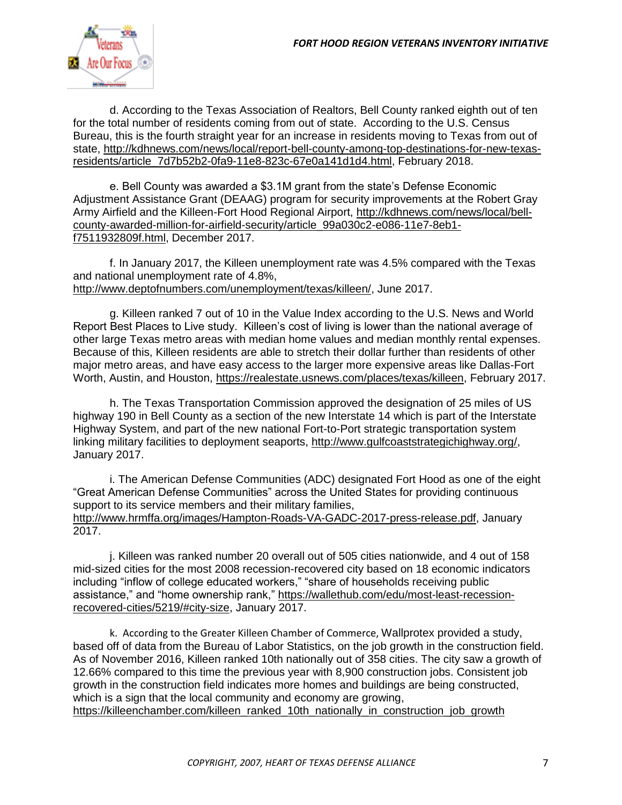

d. According to the Texas Association of Realtors, Bell County ranked eighth out of ten for the total number of residents coming from out of state. According to the U.S. Census Bureau, this is the fourth straight year for an increase in residents moving to Texas from out of state, [http://kdhnews.com/news/local/report-bell-county-among-top-destinations-for-new-texas](http://kdhnews.com/news/local/report-bell-county-among-top-destinations-for-new-texas-residents/article_7d7b52b2-0fa9-11e8-823c-67e0a141d1d4.html)[residents/article\\_7d7b52b2-0fa9-11e8-823c-67e0a141d1d4.html,](http://kdhnews.com/news/local/report-bell-county-among-top-destinations-for-new-texas-residents/article_7d7b52b2-0fa9-11e8-823c-67e0a141d1d4.html) February 2018.

e. Bell County was awarded a \$3.1M grant from the state's Defense Economic Adjustment Assistance Grant (DEAAG) program for security improvements at the Robert Gray Army Airfield and the Killeen-Fort Hood Regional Airport, [http://kdhnews.com/news/local/bell](http://kdhnews.com/news/local/bell-county-awarded-million-for-airfield-security/article_99a030c2-e086-11e7-8eb1-f7511932809f.html)[county-awarded-million-for-airfield-security/article\\_99a030c2-e086-11e7-8eb1](http://kdhnews.com/news/local/bell-county-awarded-million-for-airfield-security/article_99a030c2-e086-11e7-8eb1-f7511932809f.html) [f7511932809f.html,](http://kdhnews.com/news/local/bell-county-awarded-million-for-airfield-security/article_99a030c2-e086-11e7-8eb1-f7511932809f.html) December 2017.

f. In January 2017, the Killeen unemployment rate was 4.5% compared with the Texas and national unemployment rate of 4.8%, [http://www.deptofnumbers.com/unemployment/texas/killeen/,](http://www.deptofnumbers.com/unemployment/texas/killeen/) June 2017.

g. Killeen ranked 7 out of 10 in the Value Index according to the U.S. News and World Report Best Places to Live study. Killeen's cost of living is lower than the national average of other large Texas metro areas with median home values and median monthly rental expenses. Because of this, Killeen residents are able to stretch their dollar further than residents of other major metro areas, and have easy access to the larger more expensive areas like Dallas-Fort Worth, Austin, and Houston, [https://realestate.usnews.com/places/texas/killeen,](https://realestate.usnews.com/places/texas/killeen) February 2017.

h. The Texas Transportation Commission approved the designation of 25 miles of US highway 190 in Bell County as a section of the new Interstate 14 which is part of the Interstate Highway System, and part of the new national Fort-to-Port strategic transportation system linking military facilities to deployment seaports, [http://www.gulfcoaststrategichighway.org/,](http://www.gulfcoaststrategichighway.org/) January 2017.

i. The American Defense Communities (ADC) designated Fort Hood as one of the eight "Great American Defense Communities" across the United States for providing continuous support to its service members and their military families, [http://www.hrmffa.org/images/Hampton-Roads-VA-GADC-2017-press-release.pdf,](http://www.hrmffa.org/images/Hampton-Roads-VA-GADC-2017-press-release.pdf) January 2017.

j. Killeen was ranked number 20 overall out of 505 cities nationwide, and 4 out of 158 mid-sized cities for the most 2008 recession-recovered city based on 18 economic indicators including "inflow of college educated workers," "share of households receiving public assistance," and "home ownership rank," [https://wallethub.com/edu/most-least-recession](https://wallethub.com/edu/most-least-recession-recovered-cities/5219/#city-size)[recovered-cities/5219/#city-size,](https://wallethub.com/edu/most-least-recession-recovered-cities/5219/#city-size) January 2017.

k. According to the Greater Killeen Chamber of Commerce, Wallprotex provided a study, based off of data from the Bureau of Labor Statistics, on the job growth in the construction field. As of November 2016, Killeen ranked 10th nationally out of 358 cities. The city saw a growth of 12.66% compared to this time the previous year with 8,900 construction jobs. Consistent job growth in the construction field indicates more homes and buildings are being constructed, which is a sign that the local community and economy are growing, [https://killeenchamber.com/killeen\\_ranked\\_10th\\_nationally\\_in\\_construction\\_job\\_growth](https://killeenchamber.com/killeen_ranked_10th_nationally_in_construction_job_growth)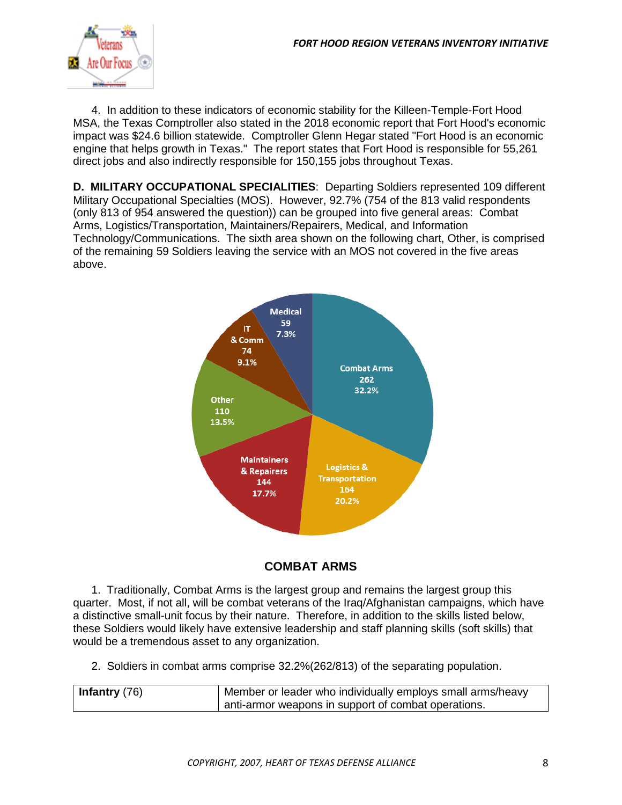

4. In addition to these indicators of economic stability for the Killeen-Temple-Fort Hood MSA, the Texas Comptroller also stated in the 2018 economic report that Fort Hood's economic impact was \$24.6 billion statewide. Comptroller Glenn Hegar stated "Fort Hood is an economic engine that helps growth in Texas." The report states that Fort Hood is responsible for 55,261 direct jobs and also indirectly responsible for 150,155 jobs throughout Texas.

**D. MILITARY OCCUPATIONAL SPECIALITIES**: Departing Soldiers represented 109 different Military Occupational Specialties (MOS). However, 92.7% (754 of the 813 valid respondents (only 813 of 954 answered the question)) can be grouped into five general areas: Combat Arms, Logistics/Transportation, Maintainers/Repairers, Medical, and Information Technology/Communications. The sixth area shown on the following chart, Other, is comprised of the remaining 59 Soldiers leaving the service with an MOS not covered in the five areas above.





1. Traditionally, Combat Arms is the largest group and remains the largest group this quarter. Most, if not all, will be combat veterans of the Iraq/Afghanistan campaigns, which have a distinctive small-unit focus by their nature. Therefore, in addition to the skills listed below, these Soldiers would likely have extensive leadership and staff planning skills (soft skills) that would be a tremendous asset to any organization.

2. Soldiers in combat arms comprise 32.2%(262/813) of the separating population.

| Infantry $(76)$ | Member or leader who individually employs small arms/heavy |
|-----------------|------------------------------------------------------------|
|                 | anti-armor weapons in support of combat operations.        |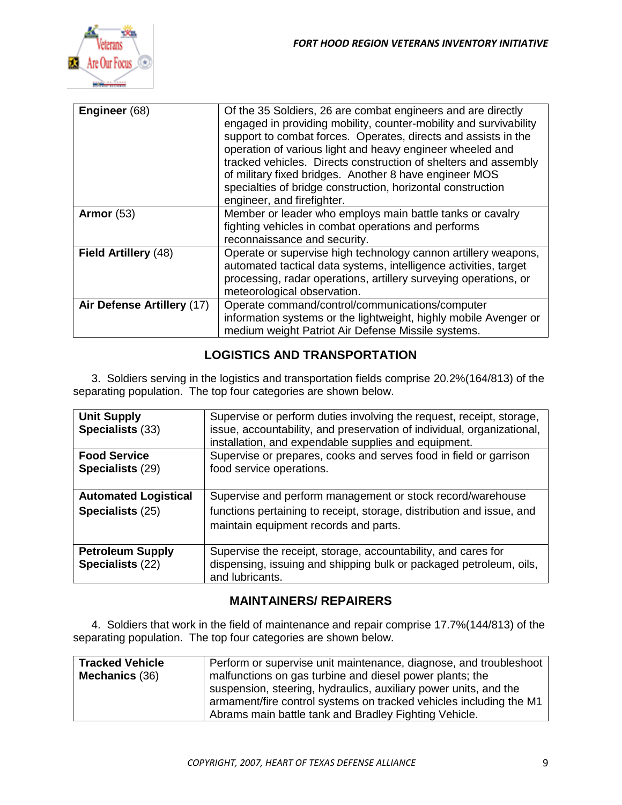

| Engineer (68)              | Of the 35 Soldiers, 26 are combat engineers and are directly<br>engaged in providing mobility, counter-mobility and survivability<br>support to combat forces. Operates, directs and assists in the<br>operation of various light and heavy engineer wheeled and<br>tracked vehicles. Directs construction of shelters and assembly<br>of military fixed bridges. Another 8 have engineer MOS<br>specialties of bridge construction, horizontal construction<br>engineer, and firefighter. |
|----------------------------|--------------------------------------------------------------------------------------------------------------------------------------------------------------------------------------------------------------------------------------------------------------------------------------------------------------------------------------------------------------------------------------------------------------------------------------------------------------------------------------------|
| Armor $(53)$               | Member or leader who employs main battle tanks or cavalry<br>fighting vehicles in combat operations and performs<br>reconnaissance and security.                                                                                                                                                                                                                                                                                                                                           |
| Field Artillery (48)       | Operate or supervise high technology cannon artillery weapons,<br>automated tactical data systems, intelligence activities, target<br>processing, radar operations, artillery surveying operations, or<br>meteorological observation.                                                                                                                                                                                                                                                      |
| Air Defense Artillery (17) | Operate command/control/communications/computer<br>information systems or the lightweight, highly mobile Avenger or<br>medium weight Patriot Air Defense Missile systems.                                                                                                                                                                                                                                                                                                                  |

# **LOGISTICS AND TRANSPORTATION**

3. Soldiers serving in the logistics and transportation fields comprise 20.2%(164/813) of the separating population. The top four categories are shown below.

| <b>Unit Supply</b><br>Specialists (33)          | Supervise or perform duties involving the request, receipt, storage,<br>issue, accountability, and preservation of individual, organizational,<br>installation, and expendable supplies and equipment. |
|-------------------------------------------------|--------------------------------------------------------------------------------------------------------------------------------------------------------------------------------------------------------|
| <b>Food Service</b><br>Specialists (29)         | Supervise or prepares, cooks and serves food in field or garrison<br>food service operations.                                                                                                          |
| <b>Automated Logistical</b><br>Specialists (25) | Supervise and perform management or stock record/warehouse<br>functions pertaining to receipt, storage, distribution and issue, and<br>maintain equipment records and parts.                           |
| <b>Petroleum Supply</b><br>Specialists (22)     | Supervise the receipt, storage, accountability, and cares for<br>dispensing, issuing and shipping bulk or packaged petroleum, oils,<br>and lubricants.                                                 |

#### **MAINTAINERS/ REPAIRERS**

4. Soldiers that work in the field of maintenance and repair comprise 17.7%(144/813) of the separating population. The top four categories are shown below.

| <b>Tracked Vehicle</b><br><b>Mechanics (36)</b> | Perform or supervise unit maintenance, diagnose, and troubleshoot<br>malfunctions on gas turbine and diesel power plants; the<br>suspension, steering, hydraulics, auxiliary power units, and the<br>armament/fire control systems on tracked vehicles including the M1 |
|-------------------------------------------------|-------------------------------------------------------------------------------------------------------------------------------------------------------------------------------------------------------------------------------------------------------------------------|
|                                                 | Abrams main battle tank and Bradley Fighting Vehicle.                                                                                                                                                                                                                   |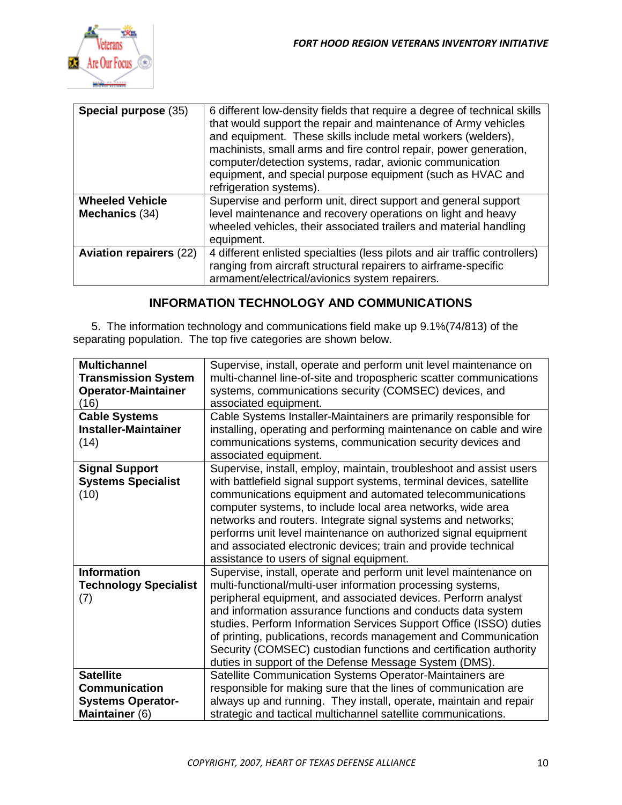

| Special purpose (35)                     | 6 different low-density fields that require a degree of technical skills<br>that would support the repair and maintenance of Army vehicles<br>and equipment. These skills include metal workers (welders),<br>machinists, small arms and fire control repair, power generation,<br>computer/detection systems, radar, avionic communication<br>equipment, and special purpose equipment (such as HVAC and<br>refrigeration systems). |
|------------------------------------------|--------------------------------------------------------------------------------------------------------------------------------------------------------------------------------------------------------------------------------------------------------------------------------------------------------------------------------------------------------------------------------------------------------------------------------------|
| <b>Wheeled Vehicle</b><br>Mechanics (34) | Supervise and perform unit, direct support and general support<br>level maintenance and recovery operations on light and heavy<br>wheeled vehicles, their associated trailers and material handling<br>equipment.                                                                                                                                                                                                                    |
| <b>Aviation repairers (22)</b>           | 4 different enlisted specialties (less pilots and air traffic controllers)<br>ranging from aircraft structural repairers to airframe-specific<br>armament/electrical/avionics system repairers.                                                                                                                                                                                                                                      |

## **INFORMATION TECHNOLOGY AND COMMUNICATIONS**

5. The information technology and communications field make up 9.1%(74/813) of the separating population. The top five categories are shown below.

| <b>Multichannel</b><br><b>Transmission System</b><br><b>Operator-Maintainer</b><br>(16)<br><b>Cable Systems</b><br><b>Installer-Maintainer</b> | Supervise, install, operate and perform unit level maintenance on<br>multi-channel line-of-site and tropospheric scatter communications<br>systems, communications security (COMSEC) devices, and<br>associated equipment.<br>Cable Systems Installer-Maintainers are primarily responsible for<br>installing, operating and performing maintenance on cable and wire                                                                                                                                                                     |
|------------------------------------------------------------------------------------------------------------------------------------------------|-------------------------------------------------------------------------------------------------------------------------------------------------------------------------------------------------------------------------------------------------------------------------------------------------------------------------------------------------------------------------------------------------------------------------------------------------------------------------------------------------------------------------------------------|
| (14)                                                                                                                                           | communications systems, communication security devices and<br>associated equipment.                                                                                                                                                                                                                                                                                                                                                                                                                                                       |
| <b>Signal Support</b><br><b>Systems Specialist</b><br>(10)                                                                                     | Supervise, install, employ, maintain, troubleshoot and assist users<br>with battlefield signal support systems, terminal devices, satellite<br>communications equipment and automated telecommunications<br>computer systems, to include local area networks, wide area<br>networks and routers. Integrate signal systems and networks;<br>performs unit level maintenance on authorized signal equipment<br>and associated electronic devices; train and provide technical<br>assistance to users of signal equipment.                   |
| <b>Information</b><br><b>Technology Specialist</b><br>(7)                                                                                      | Supervise, install, operate and perform unit level maintenance on<br>multi-functional/multi-user information processing systems,<br>peripheral equipment, and associated devices. Perform analyst<br>and information assurance functions and conducts data system<br>studies. Perform Information Services Support Office (ISSO) duties<br>of printing, publications, records management and Communication<br>Security (COMSEC) custodian functions and certification authority<br>duties in support of the Defense Message System (DMS). |
| <b>Satellite</b><br><b>Communication</b><br><b>Systems Operator-</b><br>Maintainer (6)                                                         | Satellite Communication Systems Operator-Maintainers are<br>responsible for making sure that the lines of communication are<br>always up and running. They install, operate, maintain and repair<br>strategic and tactical multichannel satellite communications.                                                                                                                                                                                                                                                                         |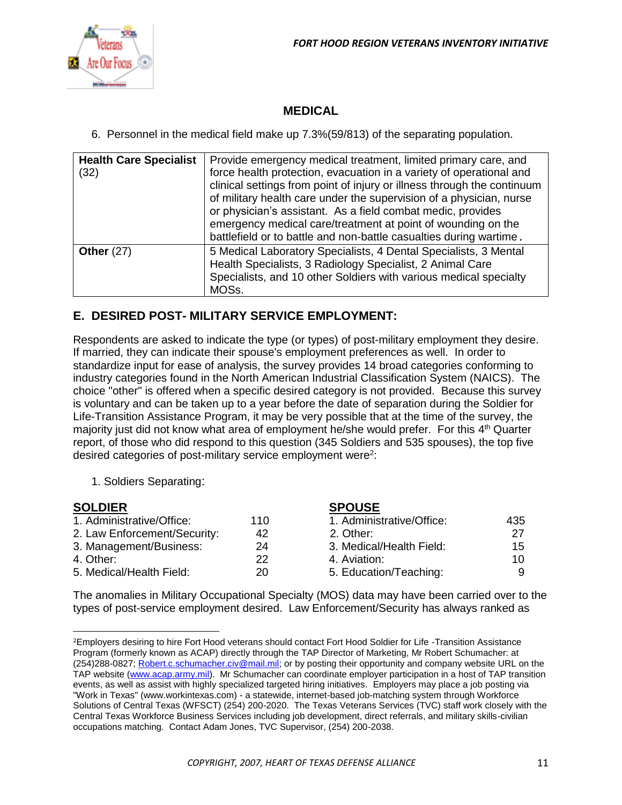

## **MEDICAL**

6. Personnel in the medical field make up 7.3%(59/813) of the separating population.

| <b>Health Care Specialist</b><br>(32) | Provide emergency medical treatment, limited primary care, and<br>force health protection, evacuation in a variety of operational and<br>clinical settings from point of injury or illness through the continuum<br>of military health care under the supervision of a physician, nurse<br>or physician's assistant. As a field combat medic, provides<br>emergency medical care/treatment at point of wounding on the<br>battlefield or to battle and non-battle casualties during wartime. |
|---------------------------------------|----------------------------------------------------------------------------------------------------------------------------------------------------------------------------------------------------------------------------------------------------------------------------------------------------------------------------------------------------------------------------------------------------------------------------------------------------------------------------------------------|
| Other $(27)$                          | 5 Medical Laboratory Specialists, 4 Dental Specialists, 3 Mental<br>Health Specialists, 3 Radiology Specialist, 2 Animal Care<br>Specialists, and 10 other Soldiers with various medical specialty<br>MOSs.                                                                                                                                                                                                                                                                                  |

### **E. DESIRED POST- MILITARY SERVICE EMPLOYMENT:**

Respondents are asked to indicate the type (or types) of post-military employment they desire. If married, they can indicate their spouse's employment preferences as well. In order to standardize input for ease of analysis, the survey provides 14 broad categories conforming to industry categories found in the North American Industrial Classification System (NAICS). The choice "other" is offered when a specific desired category is not provided. Because this survey is voluntary and can be taken up to a year before the date of separation during the Soldier for Life-Transition Assistance Program, it may be very possible that at the time of the survey, the majority just did not know what area of employment he/she would prefer. For this 4<sup>th</sup> Quarter report, of those who did respond to this question (345 Soldiers and 535 spouses), the top five desired categories of post-military service employment were<sup>2</sup>:

1. Soldiers Separating:

l

| <b>SOLDIER</b>               |     | <b>SPOUSE</b>             |     |
|------------------------------|-----|---------------------------|-----|
| 1. Administrative/Office:    | 110 | 1. Administrative/Office: | 435 |
| 2. Law Enforcement/Security: | 42  | 2. Other:                 | 27  |
| 3. Management/Business:      | 24  | 3. Medical/Health Field:  | 15  |
| 4. Other:                    | 22  | 4. Aviation:              | 10  |
| 5. Medical/Health Field:     | 20  | 5. Education/Teaching:    |     |

The anomalies in Military Occupational Specialty (MOS) data may have been carried over to the types of post-service employment desired. Law Enforcement/Security has always ranked as

<sup>&</sup>lt;sup>2</sup>Employers desiring to hire Fort Hood veterans should contact Fort Hood Soldier for Life -Transition Assistance Program (formerly known as ACAP) directly through the TAP Director of Marketing, Mr Robert Schumacher: at (254)288-0827; [Robert.c.schumacher.civ@mail.mil;](mailto:Robert.c.schumacher.civ@mail.mil) or by posting their opportunity and company website URL on the TAP website [\(www.acap.army.mil\)](http://www.acap.army.mil/). Mr Schumacher can coordinate employer participation in a host of TAP transition events, as well as assist with highly specialized targeted hiring initiatives. Employers may place a job posting via "Work in Texas" (www.workintexas.com) - a statewide, internet-based job-matching system through Workforce Solutions of Central Texas (WFSCT) (254) 200-2020. The Texas Veterans Services (TVC) staff work closely with the Central Texas Workforce Business Services including job development, direct referrals, and military skills-civilian occupations matching. Contact Adam Jones, TVC Supervisor, (254) 200-2038.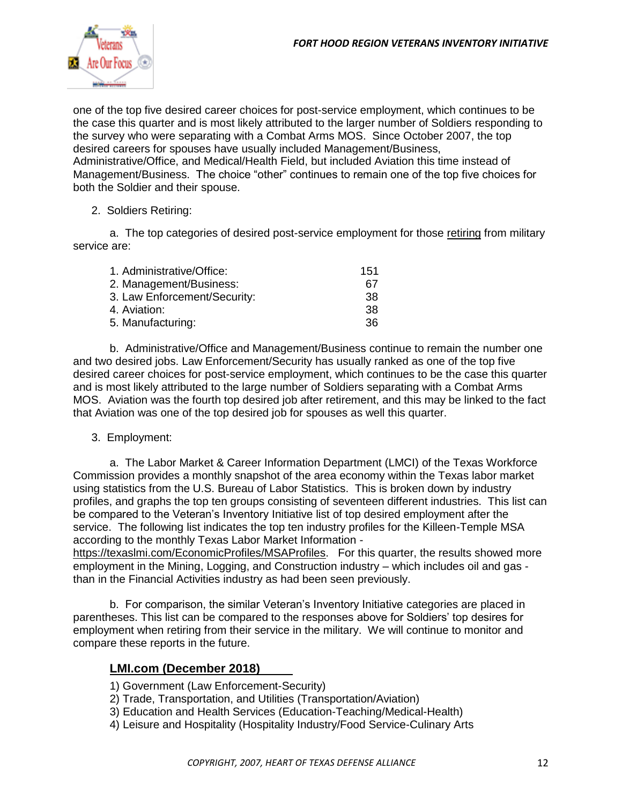

one of the top five desired career choices for post-service employment, which continues to be the case this quarter and is most likely attributed to the larger number of Soldiers responding to the survey who were separating with a Combat Arms MOS. Since October 2007, the top desired careers for spouses have usually included Management/Business, Administrative/Office, and Medical/Health Field, but included Aviation this time instead of Management/Business. The choice "other" continues to remain one of the top five choices for both the Soldier and their spouse.

#### 2. Soldiers Retiring:

a. The top categories of desired post-service employment for those retiring from military service are:

| 1. Administrative/Office:    | 151 |
|------------------------------|-----|
| 2. Management/Business:      | 67  |
| 3. Law Enforcement/Security: | 38  |
| 4. Aviation:                 | 38  |
| 5. Manufacturing:            | 36. |

b. Administrative/Office and Management/Business continue to remain the number one and two desired jobs. Law Enforcement/Security has usually ranked as one of the top five desired career choices for post-service employment, which continues to be the case this quarter and is most likely attributed to the large number of Soldiers separating with a Combat Arms MOS. Aviation was the fourth top desired job after retirement, and this may be linked to the fact that Aviation was one of the top desired job for spouses as well this quarter.

#### 3. Employment:

a. The Labor Market & Career Information Department (LMCI) of the Texas Workforce Commission provides a monthly snapshot of the area economy within the Texas labor market using statistics from the U.S. Bureau of Labor Statistics. This is broken down by industry profiles, and graphs the top ten groups consisting of seventeen different industries. This list can be compared to the Veteran's Inventory Initiative list of top desired employment after the service. The following list indicates the top ten industry profiles for the Killeen-Temple MSA according to the monthly Texas Labor Market Information -

<https://texaslmi.com/EconomicProfiles/MSAProfiles>. For this quarter, the results showed more employment in the Mining, Logging, and Construction industry – which includes oil and gas than in the Financial Activities industry as had been seen previously.

b. For comparison, the similar Veteran's Inventory Initiative categories are placed in parentheses. This list can be compared to the responses above for Soldiers' top desires for employment when retiring from their service in the military. We will continue to monitor and compare these reports in the future.

#### **LMI.com (December 2018)**

- 1) Government (Law Enforcement-Security)
- 2) Trade, Transportation, and Utilities (Transportation/Aviation)
- 3) Education and Health Services (Education-Teaching/Medical-Health)
- 4) Leisure and Hospitality (Hospitality Industry/Food Service-Culinary Arts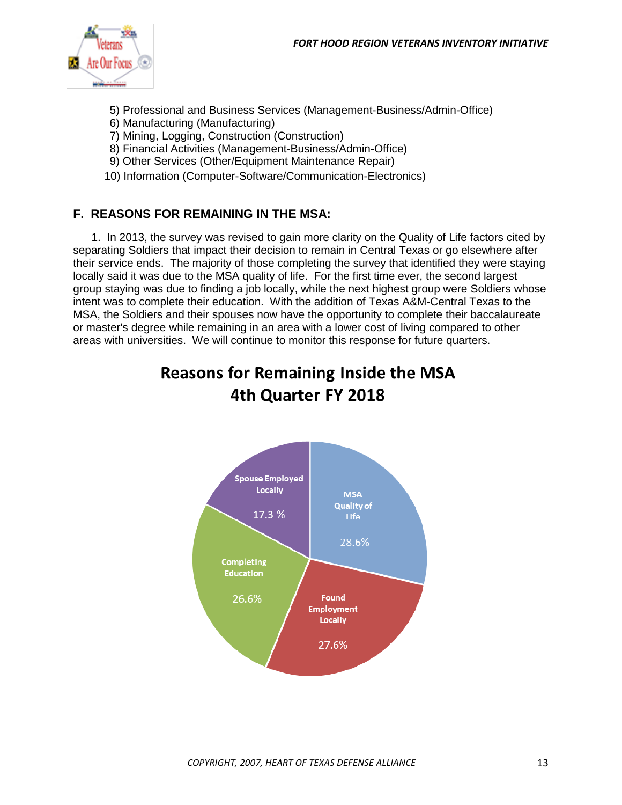

- 5) Professional and Business Services (Management-Business/Admin-Office)
- 6) Manufacturing (Manufacturing)
- 7) Mining, Logging, Construction (Construction)
- 8) Financial Activities (Management-Business/Admin-Office)
- 9) Other Services (Other/Equipment Maintenance Repair)
- 10) Information (Computer-Software/Communication-Electronics)

## **F. REASONS FOR REMAINING IN THE MSA:**

1. In 2013, the survey was revised to gain more clarity on the Quality of Life factors cited by separating Soldiers that impact their decision to remain in Central Texas or go elsewhere after their service ends. The majority of those completing the survey that identified they were staying locally said it was due to the MSA quality of life. For the first time ever, the second largest group staying was due to finding a job locally, while the next highest group were Soldiers whose intent was to complete their education. With the addition of Texas A&M-Central Texas to the MSA, the Soldiers and their spouses now have the opportunity to complete their baccalaureate or master's degree while remaining in an area with a lower cost of living compared to other areas with universities. We will continue to monitor this response for future quarters.

# **Reasons for Remaining Inside the MSA** 4th Quarter FY 2018

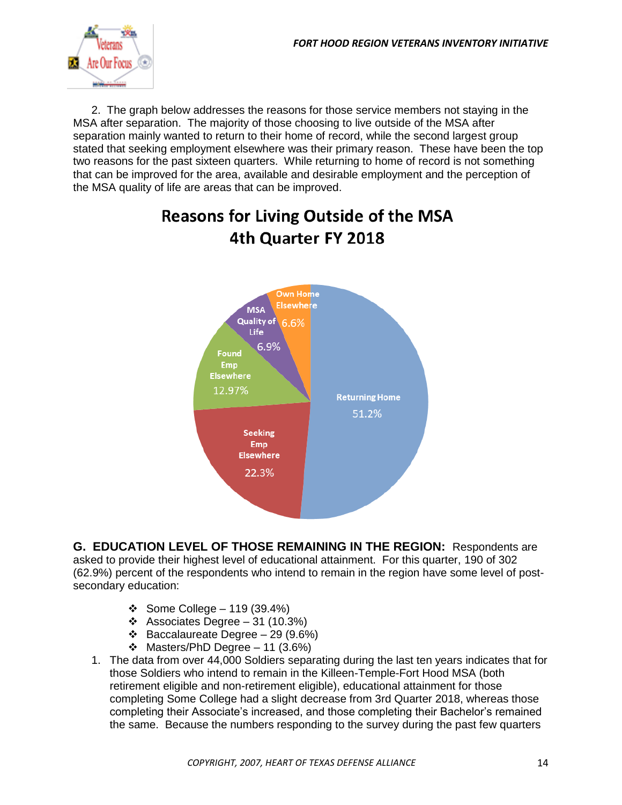

2. The graph below addresses the reasons for those service members not staying in the MSA after separation. The majority of those choosing to live outside of the MSA after separation mainly wanted to return to their home of record, while the second largest group stated that seeking employment elsewhere was their primary reason. These have been the top two reasons for the past sixteen quarters. While returning to home of record is not something that can be improved for the area, available and desirable employment and the perception of the MSA quality of life are areas that can be improved.

# **Reasons for Living Outside of the MSA** 4th Quarter FY 2018



**G. EDUCATION LEVEL OF THOSE REMAINING IN THE REGION:** Respondents are asked to provide their highest level of educational attainment. For this quarter, 190 of 302 (62.9%) percent of the respondents who intend to remain in the region have some level of postsecondary education:

- ❖ Some College 119 (39.4%)
- ❖ Associates Degree 31 (10.3%)
- ❖ Baccalaureate Degree 29 (9.6%)
- ❖ Masters/PhD Degree 11 (3.6%)
- 1. The data from over 44,000 Soldiers separating during the last ten years indicates that for those Soldiers who intend to remain in the Killeen-Temple-Fort Hood MSA (both retirement eligible and non-retirement eligible), educational attainment for those completing Some College had a slight decrease from 3rd Quarter 2018, whereas those completing their Associate's increased, and those completing their Bachelor's remained the same. Because the numbers responding to the survey during the past few quarters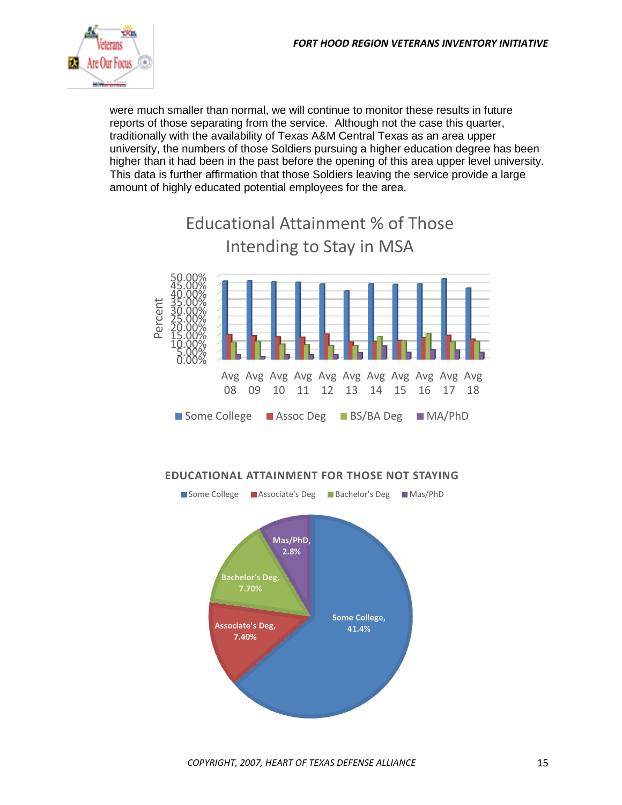

were much smaller than normal, we will continue to monitor these results in future reports of those separating from the service. Although not the case this quarter, traditionally with the availability of Texas A&M Central Texas as an area upper university, the numbers of those Soldiers pursuing a higher education degree has been higher than it had been in the past before the opening of this area upper level university. This data is further affirmation that those Soldiers leaving the service provide a large amount of highly educated potential employees for the area.



#### **EDUCATIONAL ATTAINMENT FOR THOSE NOT STAYING**